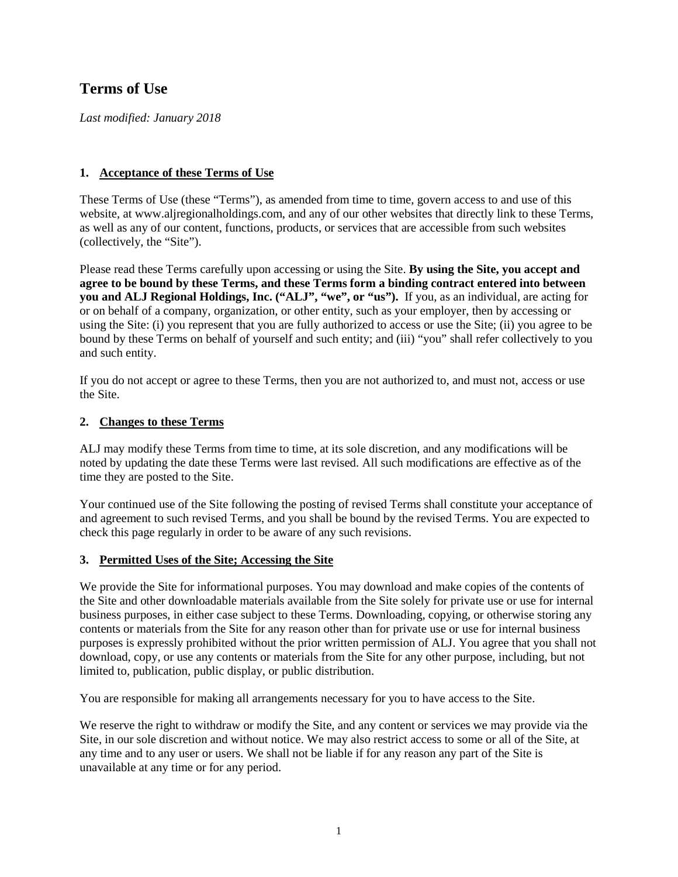# **Terms of Use**

*Last modified: January 2018*

# **1. Acceptance of these Terms of Use**

These Terms of Use (these "Terms"), as amended from time to time, govern access to and use of this website, at www.aljregionalholdings.com, and any of our other websites that directly link to these Terms, as well as any of our content, functions, products, or services that are accessible from such websites (collectively, the "Site").

Please read these Terms carefully upon accessing or using the Site. **By using the Site, you accept and agree to be bound by these Terms, and these Terms form a binding contract entered into between you and ALJ Regional Holdings, Inc. ("ALJ", "we", or "us").** If you, as an individual, are acting for or on behalf of a company, organization, or other entity, such as your employer, then by accessing or using the Site: (i) you represent that you are fully authorized to access or use the Site; (ii) you agree to be bound by these Terms on behalf of yourself and such entity; and (iii) "you" shall refer collectively to you and such entity.

If you do not accept or agree to these Terms, then you are not authorized to, and must not, access or use the Site.

## **2. Changes to these Terms**

ALJ may modify these Terms from time to time, at its sole discretion, and any modifications will be noted by updating the date these Terms were last revised. All such modifications are effective as of the time they are posted to the Site.

Your continued use of the Site following the posting of revised Terms shall constitute your acceptance of and agreement to such revised Terms, and you shall be bound by the revised Terms. You are expected to check this page regularly in order to be aware of any such revisions.

# **3. Permitted Uses of the Site; Accessing the Site**

We provide the Site for informational purposes. You may download and make copies of the contents of the Site and other downloadable materials available from the Site solely for private use or use for internal business purposes, in either case subject to these Terms. Downloading, copying, or otherwise storing any contents or materials from the Site for any reason other than for private use or use for internal business purposes is expressly prohibited without the prior written permission of ALJ. You agree that you shall not download, copy, or use any contents or materials from the Site for any other purpose, including, but not limited to, publication, public display, or public distribution.

You are responsible for making all arrangements necessary for you to have access to the Site.

We reserve the right to withdraw or modify the Site, and any content or services we may provide via the Site, in our sole discretion and without notice. We may also restrict access to some or all of the Site, at any time and to any user or users. We shall not be liable if for any reason any part of the Site is unavailable at any time or for any period.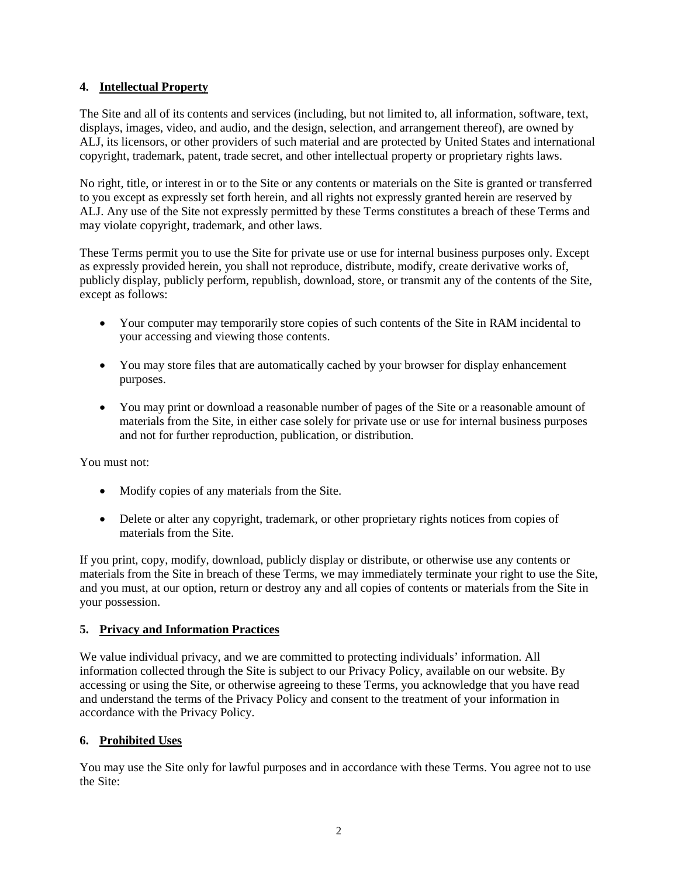## **4. Intellectual Property**

The Site and all of its contents and services (including, but not limited to, all information, software, text, displays, images, video, and audio, and the design, selection, and arrangement thereof), are owned by ALJ, its licensors, or other providers of such material and are protected by United States and international copyright, trademark, patent, trade secret, and other intellectual property or proprietary rights laws.

No right, title, or interest in or to the Site or any contents or materials on the Site is granted or transferred to you except as expressly set forth herein, and all rights not expressly granted herein are reserved by ALJ. Any use of the Site not expressly permitted by these Terms constitutes a breach of these Terms and may violate copyright, trademark, and other laws.

These Terms permit you to use the Site for private use or use for internal business purposes only. Except as expressly provided herein, you shall not reproduce, distribute, modify, create derivative works of, publicly display, publicly perform, republish, download, store, or transmit any of the contents of the Site, except as follows:

- Your computer may temporarily store copies of such contents of the Site in RAM incidental to your accessing and viewing those contents.
- You may store files that are automatically cached by your browser for display enhancement purposes.
- You may print or download a reasonable number of pages of the Site or a reasonable amount of materials from the Site, in either case solely for private use or use for internal business purposes and not for further reproduction, publication, or distribution.

You must not:

- Modify copies of any materials from the Site.
- Delete or alter any copyright, trademark, or other proprietary rights notices from copies of materials from the Site.

If you print, copy, modify, download, publicly display or distribute, or otherwise use any contents or materials from the Site in breach of these Terms, we may immediately terminate your right to use the Site, and you must, at our option, return or destroy any and all copies of contents or materials from the Site in your possession.

# **5. Privacy and Information Practices**

We value individual privacy, and we are committed to protecting individuals' information. All information collected through the Site is subject to our Privacy Policy, available on our website. By accessing or using the Site, or otherwise agreeing to these Terms, you acknowledge that you have read and understand the terms of the Privacy Policy and consent to the treatment of your information in accordance with the Privacy Policy.

# **6. Prohibited Uses**

You may use the Site only for lawful purposes and in accordance with these Terms. You agree not to use the Site: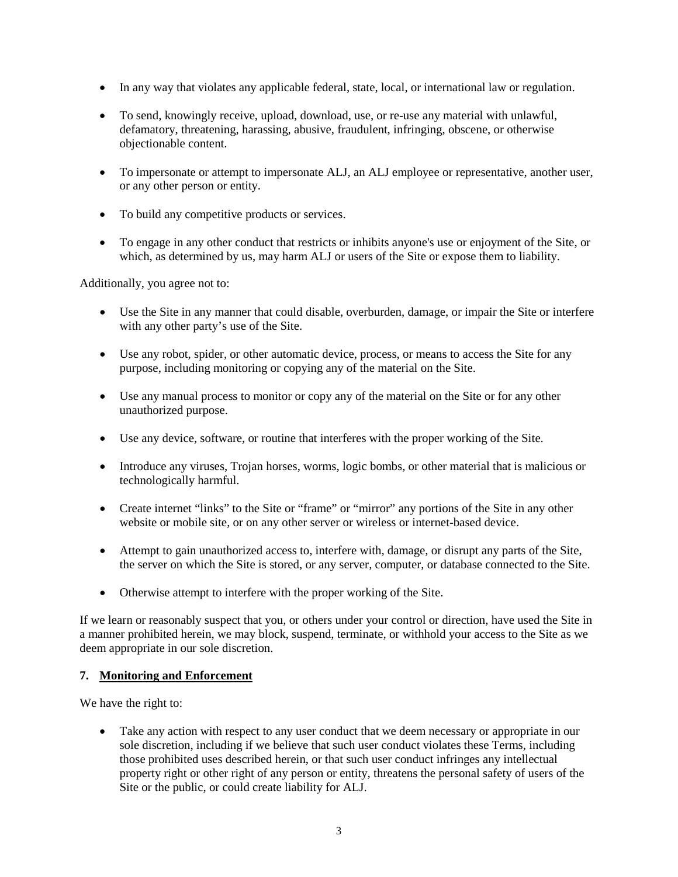- In any way that violates any applicable federal, state, local, or international law or regulation.
- To send, knowingly receive, upload, download, use, or re-use any material with unlawful, defamatory, threatening, harassing, abusive, fraudulent, infringing, obscene, or otherwise objectionable content.
- To impersonate or attempt to impersonate ALJ, an ALJ employee or representative, another user, or any other person or entity.
- To build any competitive products or services.
- To engage in any other conduct that restricts or inhibits anyone's use or enjoyment of the Site, or which, as determined by us, may harm ALJ or users of the Site or expose them to liability.

Additionally, you agree not to:

- Use the Site in any manner that could disable, overburden, damage, or impair the Site or interfere with any other party's use of the Site.
- Use any robot, spider, or other automatic device, process, or means to access the Site for any purpose, including monitoring or copying any of the material on the Site.
- Use any manual process to monitor or copy any of the material on the Site or for any other unauthorized purpose.
- Use any device, software, or routine that interferes with the proper working of the Site.
- Introduce any viruses, Trojan horses, worms, logic bombs, or other material that is malicious or technologically harmful.
- Create internet "links" to the Site or "frame" or "mirror" any portions of the Site in any other website or mobile site, or on any other server or wireless or internet-based device.
- Attempt to gain unauthorized access to, interfere with, damage, or disrupt any parts of the Site, the server on which the Site is stored, or any server, computer, or database connected to the Site.
- Otherwise attempt to interfere with the proper working of the Site.

If we learn or reasonably suspect that you, or others under your control or direction, have used the Site in a manner prohibited herein, we may block, suspend, terminate, or withhold your access to the Site as we deem appropriate in our sole discretion.

#### **7. Monitoring and Enforcement**

We have the right to:

• Take any action with respect to any user conduct that we deem necessary or appropriate in our sole discretion, including if we believe that such user conduct violates these Terms, including those prohibited uses described herein, or that such user conduct infringes any intellectual property right or other right of any person or entity, threatens the personal safety of users of the Site or the public, or could create liability for ALJ.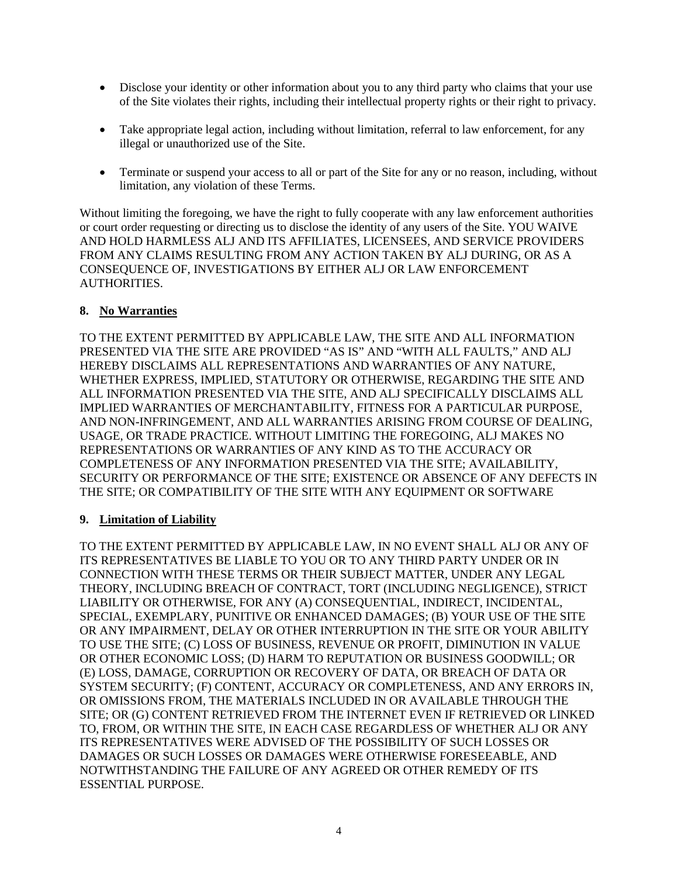- Disclose your identity or other information about you to any third party who claims that your use of the Site violates their rights, including their intellectual property rights or their right to privacy.
- Take appropriate legal action, including without limitation, referral to law enforcement, for any illegal or unauthorized use of the Site.
- Terminate or suspend your access to all or part of the Site for any or no reason, including, without limitation, any violation of these Terms.

Without limiting the foregoing, we have the right to fully cooperate with any law enforcement authorities or court order requesting or directing us to disclose the identity of any users of the Site. YOU WAIVE AND HOLD HARMLESS ALJ AND ITS AFFILIATES, LICENSEES, AND SERVICE PROVIDERS FROM ANY CLAIMS RESULTING FROM ANY ACTION TAKEN BY ALJ DURING, OR AS A CONSEQUENCE OF, INVESTIGATIONS BY EITHER ALJ OR LAW ENFORCEMENT AUTHORITIES.

# **8. No Warranties**

TO THE EXTENT PERMITTED BY APPLICABLE LAW, THE SITE AND ALL INFORMATION PRESENTED VIA THE SITE ARE PROVIDED "AS IS" AND "WITH ALL FAULTS," AND ALJ HEREBY DISCLAIMS ALL REPRESENTATIONS AND WARRANTIES OF ANY NATURE, WHETHER EXPRESS, IMPLIED, STATUTORY OR OTHERWISE, REGARDING THE SITE AND ALL INFORMATION PRESENTED VIA THE SITE, AND ALJ SPECIFICALLY DISCLAIMS ALL IMPLIED WARRANTIES OF MERCHANTABILITY, FITNESS FOR A PARTICULAR PURPOSE, AND NON-INFRINGEMENT, AND ALL WARRANTIES ARISING FROM COURSE OF DEALING, USAGE, OR TRADE PRACTICE. WITHOUT LIMITING THE FOREGOING, ALJ MAKES NO REPRESENTATIONS OR WARRANTIES OF ANY KIND AS TO THE ACCURACY OR COMPLETENESS OF ANY INFORMATION PRESENTED VIA THE SITE; AVAILABILITY, SECURITY OR PERFORMANCE OF THE SITE; EXISTENCE OR ABSENCE OF ANY DEFECTS IN THE SITE; OR COMPATIBILITY OF THE SITE WITH ANY EQUIPMENT OR SOFTWARE

# **9. Limitation of Liability**

TO THE EXTENT PERMITTED BY APPLICABLE LAW, IN NO EVENT SHALL ALJ OR ANY OF ITS REPRESENTATIVES BE LIABLE TO YOU OR TO ANY THIRD PARTY UNDER OR IN CONNECTION WITH THESE TERMS OR THEIR SUBJECT MATTER, UNDER ANY LEGAL THEORY, INCLUDING BREACH OF CONTRACT, TORT (INCLUDING NEGLIGENCE), STRICT LIABILITY OR OTHERWISE, FOR ANY (A) CONSEQUENTIAL, INDIRECT, INCIDENTAL, SPECIAL, EXEMPLARY, PUNITIVE OR ENHANCED DAMAGES; (B) YOUR USE OF THE SITE OR ANY IMPAIRMENT, DELAY OR OTHER INTERRUPTION IN THE SITE OR YOUR ABILITY TO USE THE SITE; (C) LOSS OF BUSINESS, REVENUE OR PROFIT, DIMINUTION IN VALUE OR OTHER ECONOMIC LOSS; (D) HARM TO REPUTATION OR BUSINESS GOODWILL; OR (E) LOSS, DAMAGE, CORRUPTION OR RECOVERY OF DATA, OR BREACH OF DATA OR SYSTEM SECURITY; (F) CONTENT, ACCURACY OR COMPLETENESS, AND ANY ERRORS IN, OR OMISSIONS FROM, THE MATERIALS INCLUDED IN OR AVAILABLE THROUGH THE SITE; OR (G) CONTENT RETRIEVED FROM THE INTERNET EVEN IF RETRIEVED OR LINKED TO, FROM, OR WITHIN THE SITE, IN EACH CASE REGARDLESS OF WHETHER ALJ OR ANY ITS REPRESENTATIVES WERE ADVISED OF THE POSSIBILITY OF SUCH LOSSES OR DAMAGES OR SUCH LOSSES OR DAMAGES WERE OTHERWISE FORESEEABLE, AND NOTWITHSTANDING THE FAILURE OF ANY AGREED OR OTHER REMEDY OF ITS ESSENTIAL PURPOSE.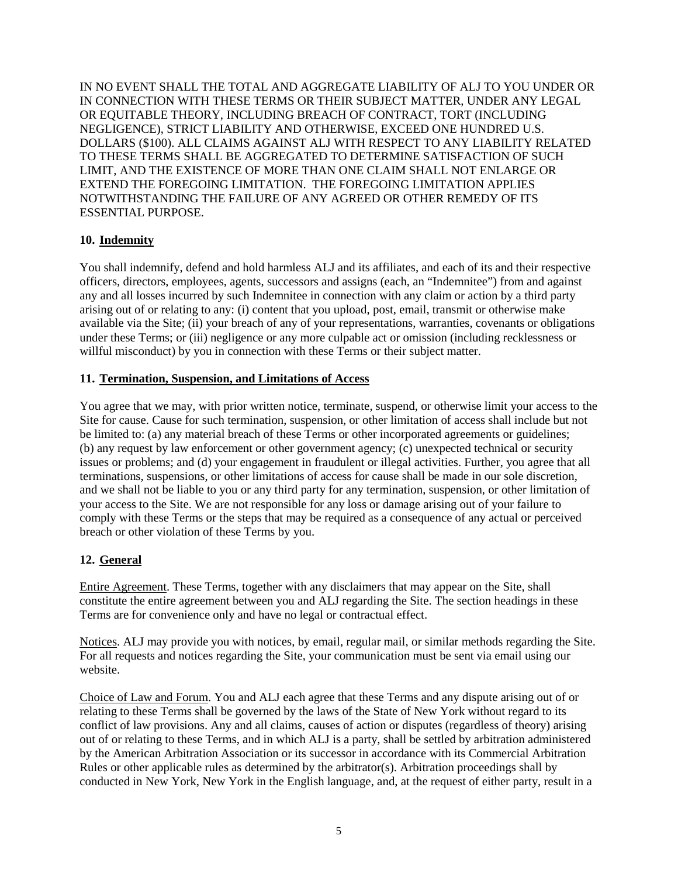IN NO EVENT SHALL THE TOTAL AND AGGREGATE LIABILITY OF ALJ TO YOU UNDER OR IN CONNECTION WITH THESE TERMS OR THEIR SUBJECT MATTER, UNDER ANY LEGAL OR EQUITABLE THEORY, INCLUDING BREACH OF CONTRACT, TORT (INCLUDING NEGLIGENCE), STRICT LIABILITY AND OTHERWISE, EXCEED ONE HUNDRED U.S. DOLLARS (\$100). ALL CLAIMS AGAINST ALJ WITH RESPECT TO ANY LIABILITY RELATED TO THESE TERMS SHALL BE AGGREGATED TO DETERMINE SATISFACTION OF SUCH LIMIT, AND THE EXISTENCE OF MORE THAN ONE CLAIM SHALL NOT ENLARGE OR EXTEND THE FOREGOING LIMITATION. THE FOREGOING LIMITATION APPLIES NOTWITHSTANDING THE FAILURE OF ANY AGREED OR OTHER REMEDY OF ITS ESSENTIAL PURPOSE.

## **10. Indemnity**

You shall indemnify, defend and hold harmless ALJ and its affiliates, and each of its and their respective officers, directors, employees, agents, successors and assigns (each, an "Indemnitee") from and against any and all losses incurred by such Indemnitee in connection with any claim or action by a third party arising out of or relating to any: (i) content that you upload, post, email, transmit or otherwise make available via the Site; (ii) your breach of any of your representations, warranties, covenants or obligations under these Terms; or (iii) negligence or any more culpable act or omission (including recklessness or willful misconduct) by you in connection with these Terms or their subject matter.

#### **11. Termination, Suspension, and Limitations of Access**

You agree that we may, with prior written notice, terminate, suspend, or otherwise limit your access to the Site for cause. Cause for such termination, suspension, or other limitation of access shall include but not be limited to: (a) any material breach of these Terms or other incorporated agreements or guidelines; (b) any request by law enforcement or other government agency; (c) unexpected technical or security issues or problems; and (d) your engagement in fraudulent or illegal activities. Further, you agree that all terminations, suspensions, or other limitations of access for cause shall be made in our sole discretion, and we shall not be liable to you or any third party for any termination, suspension, or other limitation of your access to the Site. We are not responsible for any loss or damage arising out of your failure to comply with these Terms or the steps that may be required as a consequence of any actual or perceived breach or other violation of these Terms by you.

# **12. General**

Entire Agreement. These Terms, together with any disclaimers that may appear on the Site, shall constitute the entire agreement between you and ALJ regarding the Site. The section headings in these Terms are for convenience only and have no legal or contractual effect.

Notices. ALJ may provide you with notices, by email, regular mail, or similar methods regarding the Site. For all requests and notices regarding the Site, your communication must be sent via email using our website.

Choice of Law and Forum. You and ALJ each agree that these Terms and any dispute arising out of or relating to these Terms shall be governed by the laws of the State of New York without regard to its conflict of law provisions. Any and all claims, causes of action or disputes (regardless of theory) arising out of or relating to these Terms, and in which ALJ is a party, shall be settled by arbitration administered by the American Arbitration Association or its successor in accordance with its Commercial Arbitration Rules or other applicable rules as determined by the arbitrator(s). Arbitration proceedings shall by conducted in New York, New York in the English language, and, at the request of either party, result in a